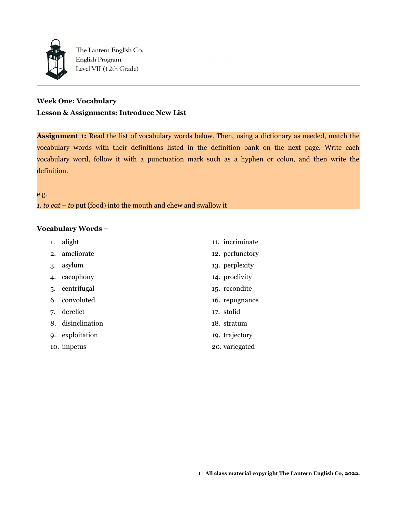

The Lantern English Co. English Program Level VII (12th Grade)

# **Week One: Vocabulary Lesson & Assignments: Introduce New List**

**Assignment 1:** Read the list of vocabulary words below. Then, using a dictionary as needed, match the vocabulary words with their definitions listed in the definition bank on the next page. Write each vocabulary word, follow it with a punctuation mark such as a hyphen or colon, and then write the definition.

#### e.g.

*1. to eat – to* put (food) into the mouth and chew and swallow it

## **Vocabulary Words –**

- 1. alight
- 2. ameliorate
- 3. asylum
- 4. cacophony
- 5. centrifugal
- 6. convoluted
- 7. derelict
- 8. disinclination
- 9. exploitation
- 10. impetus
- 11. incriminate
- 12. perfunctory
- 13. perplexity
- 14. proclivity
- 15. recondite
- 16. repugnance
- 17. stolid
- 18. stratum
- 19. trajectory
- 20. variegated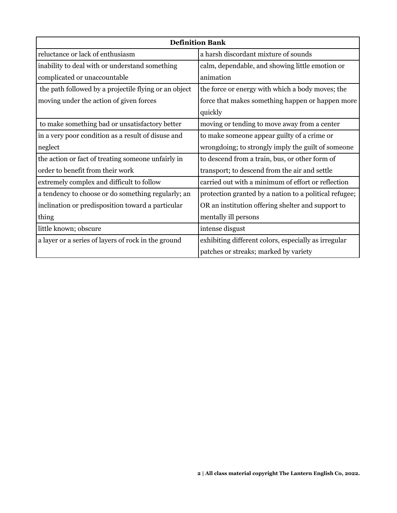| <b>Definition Bank</b>                                |                                                        |  |  |
|-------------------------------------------------------|--------------------------------------------------------|--|--|
| reluctance or lack of enthusiasm                      | a harsh discordant mixture of sounds                   |  |  |
| inability to deal with or understand something        | calm, dependable, and showing little emotion or        |  |  |
| complicated or unaccountable                          | animation                                              |  |  |
| the path followed by a projectile flying or an object | the force or energy with which a body moves; the       |  |  |
| moving under the action of given forces               | force that makes something happen or happen more       |  |  |
|                                                       | quickly                                                |  |  |
| to make something bad or unsatisfactory better        | moving or tending to move away from a center           |  |  |
| in a very poor condition as a result of disuse and    | to make someone appear guilty of a crime or            |  |  |
| neglect                                               | wrongdoing; to strongly imply the guilt of someone     |  |  |
| the action or fact of treating someone unfairly in    | to descend from a train, bus, or other form of         |  |  |
| order to benefit from their work                      | transport; to descend from the air and settle          |  |  |
| extremely complex and difficult to follow             | carried out with a minimum of effort or reflection     |  |  |
| a tendency to choose or do something regularly; an    | protection granted by a nation to a political refugee; |  |  |
| inclination or predisposition toward a particular     | OR an institution offering shelter and support to      |  |  |
| thing                                                 | mentally ill persons                                   |  |  |
| little known; obscure                                 | intense disgust                                        |  |  |
| a layer or a series of layers of rock in the ground   | exhibiting different colors, especially as irregular   |  |  |
|                                                       | patches or streaks; marked by variety                  |  |  |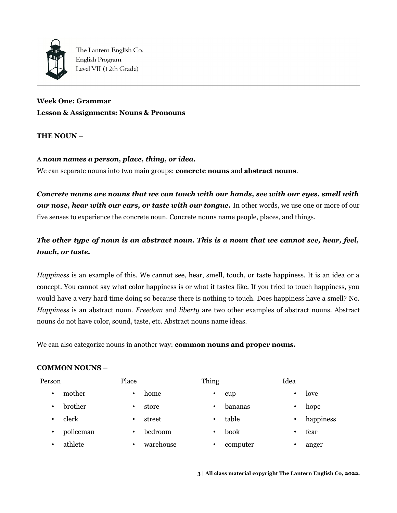

The Lantern English Co. English Program Level VII (12th Grade)

**Week One: Grammar Lesson & Assignments: Nouns & Pronouns**

**THE NOUN –** 

### A *noun names a person, place, thing, or idea.*

We can separate nouns into two main groups: **concrete nouns** and **abstract nouns**.

*Concrete nouns are nouns that we can touch with our hands, see with our eyes, smell with our nose, hear with our ears, or taste with our tongue.* In other words, we use one or more of our five senses to experience the concrete noun. Concrete nouns name people, places, and things.

## *The other type of noun is an abstract noun. This is a noun that we cannot see, hear, feel, touch, or taste.*

*Happiness* is an example of this. We cannot see, hear, smell, touch, or taste happiness. It is an idea or a concept. You cannot say what color happiness is or what it tastes like. If you tried to touch happiness, you would have a very hard time doing so because there is nothing to touch. Does happiness have a smell? No. *Happiness* is an abstract noun. *Freedom* and *liberty* are two other examples of abstract nouns. Abstract nouns do not have color, sound, taste, etc. Abstract nouns name ideas.

We can also categorize nouns in another way: **common nouns and proper nouns.**

#### **COMMON NOUNS –**

| Person    |           | Place     |           | Thing     |          | Idea      |           |
|-----------|-----------|-----------|-----------|-----------|----------|-----------|-----------|
| ٠         | mother    | $\bullet$ | home      | ٠         | cup      | $\bullet$ | love      |
| ٠         | brother   | $\bullet$ | store     | $\bullet$ | bananas  | $\bullet$ | hope      |
| $\bullet$ | clerk     | $\bullet$ | street    | ٠         | table    | $\bullet$ | happiness |
| $\bullet$ | policeman | $\bullet$ | bedroom   | $\bullet$ | book     | $\bullet$ | fear      |
| ٠         | athlete   | $\bullet$ | warehouse | ٠         | computer | $\bullet$ | anger     |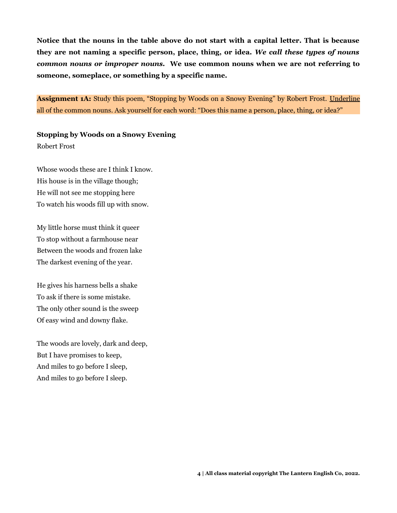**Notice that the nouns in the table above do not start with a capital letter. That is because they are not naming a specific person, place, thing, or idea.** *We call these types of nouns common nouns or improper nouns.* **We use common nouns when we are not referring to someone, someplace, or something by a specific name.**

**Assignment 1A:** Study this poem, "Stopping by Woods on a Snowy Evening" by Robert Frost. Underline all of the common nouns. Ask yourself for each word: "Does this name a person, place, thing, or idea?"

**Stopping by Woods on a Snowy Evening**

Robert Frost

Whose woods these are I think I know. His house is in the village though; He will not see me stopping here To watch his woods fill up with snow.

My little horse must think it queer To stop without a farmhouse near Between the woods and frozen lake The darkest evening of the year.

He gives his harness bells a shake To ask if there is some mistake. The only other sound is the sweep Of easy wind and downy flake.

The woods are lovely, dark and deep, But I have promises to keep, And miles to go before I sleep, And miles to go before I sleep.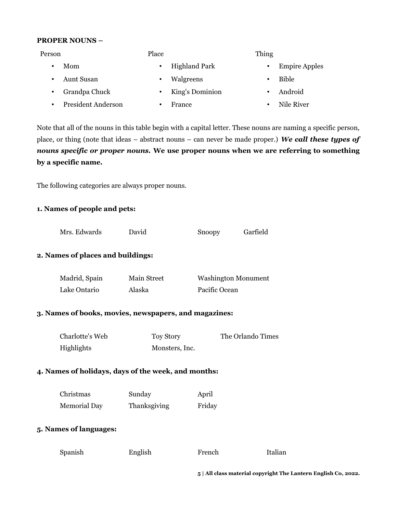## **PROPER NOUNS –**

| Person    |                           | Place     |                   | Thing |                      |
|-----------|---------------------------|-----------|-------------------|-------|----------------------|
| ٠         | Mom                       | $\bullet$ | Highland Park     |       | <b>Empire Apples</b> |
| $\bullet$ | Aunt Susan                | $\bullet$ | Walgreens         |       | <b>Bible</b>         |
| $\bullet$ | Grandpa Chuck             |           | • King's Dominion |       | Android              |
| $\bullet$ | <b>President Anderson</b> |           | France            |       | Nile River           |

Note that all of the nouns in this table begin with a capital letter. These nouns are naming a specific person, place, or thing (note that ideas – abstract nouns – can never be made proper.) *We call these types of nouns specific or proper nouns.* **We use proper nouns when we are referring to something by a specific name.**

The following categories are always proper nouns.

## **1. Names of people and pets:**

| Mrs. Edwards                                          | David                 | Snoopy                                      | Garfield          |
|-------------------------------------------------------|-----------------------|---------------------------------------------|-------------------|
| 2. Names of places and buildings:                     |                       |                                             |                   |
| Madrid, Spain<br>Lake Ontario                         | Main Street<br>Alaska | <b>Washington Monument</b><br>Pacific Ocean |                   |
| 3. Names of books, movies, newspapers, and magazines: |                       |                                             |                   |
|                                                       |                       |                                             |                   |
| Charlotte's Web                                       | Toy Story             |                                             | The Orlando Times |
| Highlights                                            | Monsters, Inc.        |                                             |                   |
| 4. Names of holidays, days of the week, and months:   |                       |                                             |                   |
| Christmas                                             | Sunday                | April                                       |                   |
| Memorial Day                                          | Thanksgiving          | Friday                                      |                   |
| 5. Names of languages:                                |                       |                                             |                   |
| Spanish                                               | English               | French                                      | Italian           |

**5 | All class material copyright The Lantern English Co, 2022.**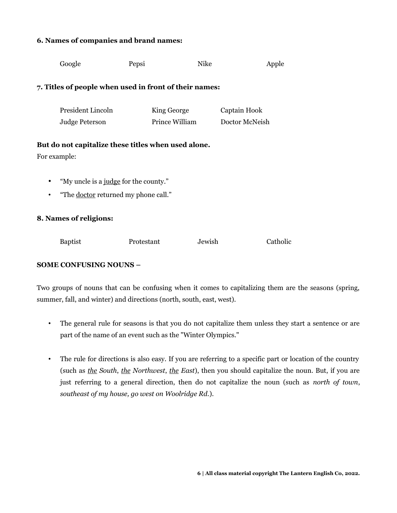### **6. Names of companies and brand names:**

|              | Google                                                                               | Pepsi                         | Nike   | Apple                          |  |  |
|--------------|--------------------------------------------------------------------------------------|-------------------------------|--------|--------------------------------|--|--|
|              | 7. Titles of people when used in front of their names:                               |                               |        |                                |  |  |
|              | President Lincoln<br>Judge Peterson                                                  | King George<br>Prince William |        | Captain Hook<br>Doctor McNeish |  |  |
| For example: | But do not capitalize these titles when used alone.                                  |                               |        |                                |  |  |
| $\bullet$    | "My uncle is a judge for the county."<br>"The <u>doctor</u> returned my phone call." |                               |        |                                |  |  |
|              | 8. Names of religions:                                                               |                               |        |                                |  |  |
|              | <b>Baptist</b>                                                                       | Protestant                    | Jewish | Catholic                       |  |  |

## **SOME CONFUSING NOUNS –**

Two groups of nouns that can be confusing when it comes to capitalizing them are the seasons (spring, summer, fall, and winter) and directions (north, south, east, west).

- The general rule for seasons is that you do not capitalize them unless they start a sentence or are part of the name of an event such as the "Winter Olympics."
- The rule for directions is also easy. If you are referring to a specific part or location of the country (such as *the South*, *the Northwest*, *the East*), then you should capitalize the noun. But, if you are just referring to a general direction, then do not capitalize the noun (such as *north of town*, *southeast of my house, go west on Woolridge Rd.*).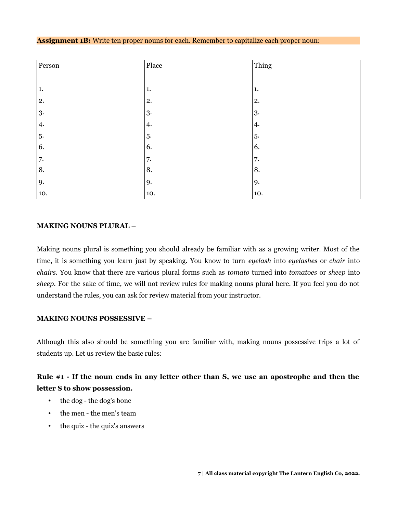| Person | Place | Thing |
|--------|-------|-------|
|        |       |       |
| 1.     | 1.    | 1.    |
| 2.     | 2.    | 2.    |
| 3.     | 3.    | 3.    |
| 4.     | 4.    | 4.    |
| 5.     | 5.    | 5.    |
| 6.     | 6.    | 6.    |
| 7.     | 7.    | 7.    |
| 8.     | 8.    | 8.    |
| 9.     | 9.    | 9.    |
| 10.    | 10.   | 10.   |

**Assignment 1B:** Write ten proper nouns for each. Remember to capitalize each proper noun:

#### **MAKING NOUNS PLURAL –**

Making nouns plural is something you should already be familiar with as a growing writer. Most of the time, it is something you learn just by speaking. You know to turn *eyelash* into *eyelashes* or *chair* into *chairs.* You know that there are various plural forms such as *tomato* turned into *tomatoes* or *sheep* into *sheep.* For the sake of time, we will not review rules for making nouns plural here. If you feel you do not understand the rules, you can ask for review material from your instructor.

#### **MAKING NOUNS POSSESSIVE –**

Although this also should be something you are familiar with, making nouns possessive trips a lot of students up. Let us review the basic rules:

## **Rule #1 - If the noun ends in any letter other than S, we use an apostrophe and then the letter S to show possession.**

- the dog the dog's bone
- the men the men's team
- the quiz the quiz's answers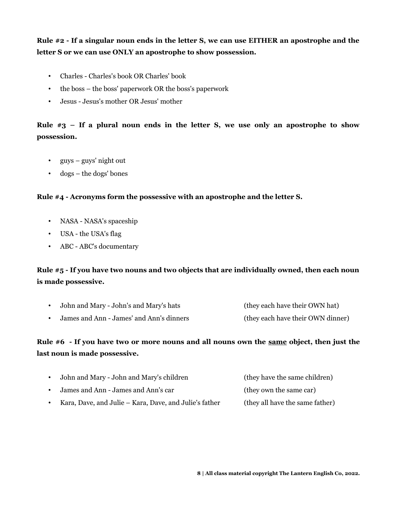**Rule #2 - If a singular noun ends in the letter S, we can use EITHER an apostrophe and the letter S or we can use ONLY an apostrophe to show possession.**

- Charles Charles's book OR Charles' book
- the boss the boss' paperwork OR the boss's paperwork
- Jesus Jesus's mother OR Jesus' mother

## **Rule #3 – If a plural noun ends in the letter S, we use only an apostrophe to show possession.**

- guys guys' night out
- dogs the dogs' bones

## **Rule #4 - Acronyms form the possessive with an apostrophe and the letter S.**

- NASA NASA's spaceship
- USA the USA's flag
- ABC ABC's documentary

## **Rule #5 - If you have two nouns and two objects that are individually owned, then each noun is made possessive.**

| John and Mary - John's and Mary's hats   | (they each have their OWN hat)    |
|------------------------------------------|-----------------------------------|
| James and Ann - James' and Ann's dinners | (they each have their OWN dinner) |

## **Rule #6 - If you have two or more nouns and all nouns own the same object, then just the last noun is made possessive.**

| John and Mary - John and Mary's children               | (they have the same children)   |
|--------------------------------------------------------|---------------------------------|
| James and Ann - James and Ann's car                    | (they own the same car)         |
| Kara, Dave, and Julie – Kara, Dave, and Julie's father | (they all have the same father) |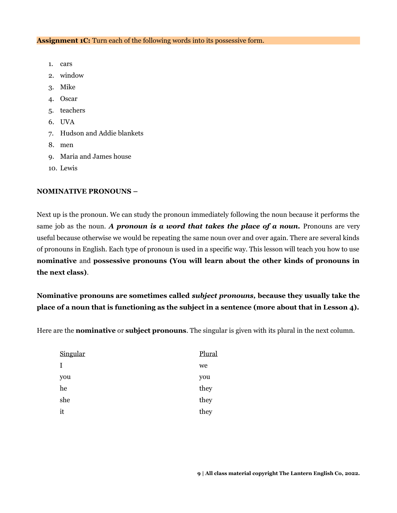#### **Assignment 1C:** Turn each of the following words into its possessive form.

- 1. cars
- 2. window
- 3. Mike
- 4. Oscar
- 5. teachers
- 6. UVA
- 7. Hudson and Addie blankets
- 8. men
- 9. Maria and James house
- 10. Lewis

#### **NOMINATIVE PRONOUNS –**

Next up is the pronoun. We can study the pronoun immediately following the noun because it performs the same job as the noun. *A pronoun is a word that takes the place of a noun*. Pronouns are very useful because otherwise we would be repeating the same noun over and over again. There are several kinds of pronouns in English. Each type of pronoun is used in a specific way. This lesson will teach you how to use **nominative** and **possessive pronouns (You will learn about the other kinds of pronouns in the next class)**.

**Nominative pronouns are sometimes called** *subject pronouns,* **because they usually take the place of a noun that is functioning as the subject in a sentence (more about that in Lesson 4).**

Here are the **nominative** or **subject pronouns**. The singular is given with its plural in the next column.

| Plural |
|--------|
| we     |
| you    |
| they   |
| they   |
| they   |
|        |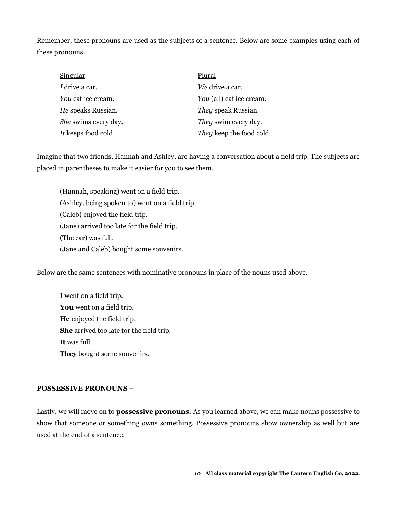Remember, these pronouns are used as the subjects of a sentence. Below are some examples using each of these pronouns.

| <u>Singular</u>      | Plural                     |
|----------------------|----------------------------|
| I drive a car.       | We drive a car.            |
| You eat ice cream.   | You (all) eat ice cream.   |
| He speaks Russian.   | <i>They</i> speak Russian. |
| She swims every day. | They swim every day.       |
| It keeps food cold.  | They keep the food cold.   |

Imagine that two friends, Hannah and Ashley, are having a conversation about a field trip. The subjects are placed in parentheses to make it easier for you to see them.

(Hannah, speaking) went on a field trip. (Ashley, being spoken to) went on a field trip. (Caleb) enjoyed the field trip. (Jane) arrived too late for the field trip. (The car) was full. (Jane and Caleb) bought some souvenirs.

Below are the same sentences with nominative pronouns in place of the nouns used above.

**I** went on a field trip. **You** went on a field trip. **He** enjoyed the field trip. **She** arrived too late for the field trip. **It** was full. **They** bought some souvenirs.

#### **POSSESSIVE PRONOUNS –**

Lastly, we will move on to **possessive pronouns.** As you learned above, we can make nouns possessive to show that someone or something owns something. Possessive pronouns show ownership as well but are used at the end of a sentence.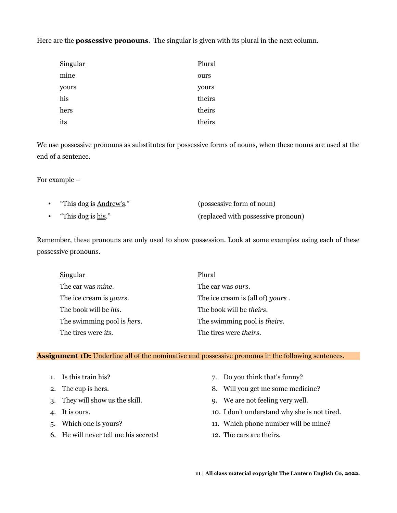#### Here are the **possessive pronouns**. The singular is given with its plural in the next column.

| <u>Singular</u> | Plural |
|-----------------|--------|
| mine            | ours   |
| yours           | yours  |
| his             | theirs |
| hers            | theirs |
| its             | theirs |

We use possessive pronouns as substitutes for possessive forms of nouns, when these nouns are used at the end of a sentence.

For example –

| "This dog is <u>Andrew's</u> ." | (possessive form of noun)          |
|---------------------------------|------------------------------------|
| "This dog is <u>his</u> ."      | (replaced with possessive pronoun) |

Remember, these pronouns are only used to show possession. Look at some examples using each of these possessive pronouns.

| Singular                           | Plural                                   |
|------------------------------------|------------------------------------------|
| The car was <i>mine</i> .          | The car was <i>ours</i> .                |
| The ice cream is <i>yours</i> .    | The ice cream is (all of) <i>yours</i> . |
| The book will be his.              | The book will be <i>theirs</i> .         |
| The swimming pool is <i>hers</i> . | The swimming pool is <i>theirs</i> .     |
| The tires were <i>its</i> .        | The tires were <i>theirs</i> .           |

**Assignment 1D:** Underline all of the nominative and possessive pronouns in the following sentences.

- 1. Is this train his?
- 2. The cup is hers.
- 3. They will show us the skill.
- 4. It is ours.
- 5. Which one is yours?
- 6. He will never tell me his secrets!
- 7. Do you think that's funny?
- 8. Will you get me some medicine?
- 9. We are not feeling very well.
- 10. I don't understand why she is not tired.
- 11. Which phone number will be mine?
- 12. The cars are theirs.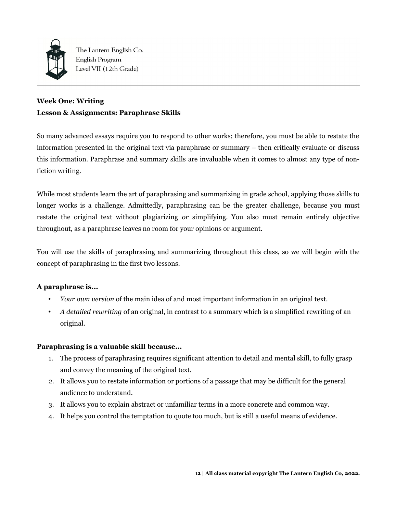

The Lantern English Co. English Program Level VII (12th Grade)

# **Week One: Writing Lesson & Assignments: Paraphrase Skills**

So many advanced essays require you to respond to other works; therefore, you must be able to restate the information presented in the original text via paraphrase or summary – then critically evaluate or discuss this information. Paraphrase and summary skills are invaluable when it comes to almost any type of nonfiction writing.

While most students learn the art of paraphrasing and summarizing in grade school, applying those skills to longer works is a challenge. Admittedly, paraphrasing can be the greater challenge, because you must restate the original text without plagiarizing *or* simplifying. You also must remain entirely objective throughout, as a paraphrase leaves no room for your opinions or argument.

You will use the skills of paraphrasing and summarizing throughout this class, so we will begin with the concept of paraphrasing in the first two lessons.

## **A paraphrase is...**

- *Your own version* of the main idea of and most important information in an original text.
- *A detailed rewriting* of an original, in contrast to a summary which is a simplified rewriting of an original.

## **Paraphrasing is a valuable skill because...**

- 1. The process of paraphrasing requires significant attention to detail and mental skill, to fully grasp and convey the meaning of the original text.
- 2. It allows you to restate information or portions of a passage that may be difficult for the general audience to understand.
- 3. It allows you to explain abstract or unfamiliar terms in a more concrete and common way.
- 4. It helps you control the temptation to quote too much, but is still a useful means of evidence.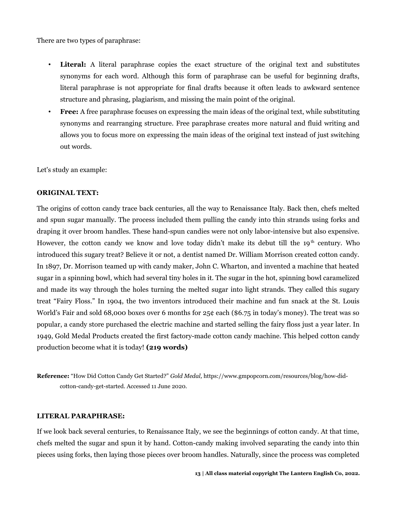There are two types of paraphrase:

- **Literal:** A literal paraphrase copies the exact structure of the original text and substitutes synonyms for each word. Although this form of paraphrase can be useful for beginning drafts, literal paraphrase is not appropriate for final drafts because it often leads to awkward sentence structure and phrasing, plagiarism, and missing the main point of the original.
- **Free:** A free paraphrase focuses on expressing the main ideas of the original text, while substituting synonyms and rearranging structure. Free paraphrase creates more natural and fluid writing and allows you to focus more on expressing the main ideas of the original text instead of just switching out words.

Let's study an example:

#### **ORIGINAL TEXT:**

The origins of cotton candy trace back centuries, all the way to Renaissance Italy. Back then, chefs melted and spun sugar manually. The process included them pulling the candy into thin strands using forks and draping it over broom handles. These hand-spun candies were not only labor-intensive but also expensive. However, the cotton candy we know and love today didn't make its debut till the  $19<sup>th</sup>$  century. Who introduced this sugary treat? Believe it or not, a dentist named Dr. William Morrison created cotton candy. In 1897, Dr. Morrison teamed up with candy maker, John C. Wharton, and invented a machine that heated sugar in a spinning bowl, which had several tiny holes in it. The sugar in the hot, spinning bowl caramelized and made its way through the holes turning the melted sugar into light strands. They called this sugary treat "Fairy Floss." In 1904, the two inventors introduced their machine and fun snack at the St. Louis World's Fair and sold 68,000 boxes over 6 months for 25¢ each (\$6.75 in today's money). The treat was so popular, a candy store purchased the electric machine and started selling the fairy floss just a year later. In 1949, Gold Medal Products created the first factory-made cotton candy machine. This helped cotton candy production become what it is today! **(219 words)**

**Reference:** "How Did Cotton Candy Get Started?" *Gold Medal,* https://www.gmpopcorn.com/resources/blog/how-didcotton-candy-get-started. Accessed 11 June 2020.

#### **LITERAL PARAPHRASE:**

If we look back several centuries, to Renaissance Italy, we see the beginnings of cotton candy. At that time, chefs melted the sugar and spun it by hand. Cotton-candy making involved separating the candy into thin pieces using forks, then laying those pieces over broom handles. Naturally, since the process was completed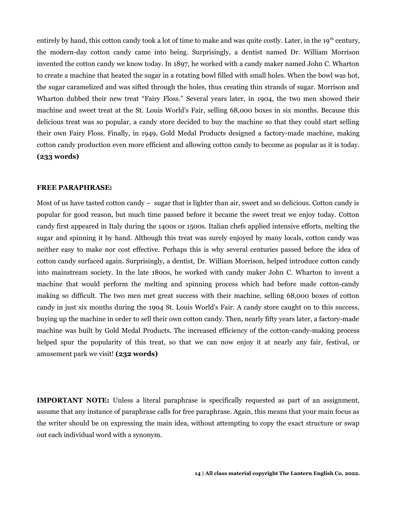entirely by hand, this cotton candy took a lot of time to make and was quite costly. Later, in the  $19<sup>th</sup>$  century, the modern-day cotton candy came into being. Surprisingly, a dentist named Dr. William Morrison invented the cotton candy we know today. In 1897, he worked with a candy maker named John C. Wharton to create a machine that heated the sugar in a rotating bowl filled with small holes. When the bowl was hot, the sugar caramelized and was sifted through the holes, thus creating thin strands of sugar. Morrison and Wharton dubbed their new treat "Fairy Floss." Several years later, in 1904, the two men showed their machine and sweet treat at the St. Louis World's Fair, selling 68,000 boxes in six months. Because this delicious treat was so popular, a candy store decided to buy the machine so that they could start selling their own Fairy Floss. Finally, in 1949, Gold Medal Products designed a factory-made machine, making cotton candy production even more efficient and allowing cotton candy to become as popular as it is today. **(233 words)**

#### **FREE PARAPHRASE:**

Most of us have tasted cotton candy – sugar that is lighter than air, sweet and so delicious. Cotton candy is popular for good reason, but much time passed before it became the sweet treat we enjoy today. Cotton candy first appeared in Italy during the 1400s or 1500s. Italian chefs applied intensive efforts, melting the sugar and spinning it by hand. Although this treat was surely enjoyed by many locals, cotton candy was neither easy to make nor cost effective. Perhaps this is why several centuries passed before the idea of cotton candy surfaced again. Surprisingly, a dentist, Dr. William Morrison, helped introduce cotton candy into mainstream society. In the late 1800s, he worked with candy maker John C. Wharton to invent a machine that would perform the melting and spinning process which had before made cotton-candy making so difficult. The two men met great success with their machine, selling 68,000 boxes of cotton candy in just six months during the 1904 St. Louis World's Fair. A candy store caught on to this success, buying up the machine in order to sell their own cotton candy. Then, nearly fifty years later, a factory-made machine was built by Gold Medal Products. The increased efficiency of the cotton-candy-making process helped spur the popularity of this treat, so that we can now enjoy it at nearly any fair, festival, or amusement park we visit! **(232 words)**

**IMPORTANT NOTE:** Unless a literal paraphrase is specifically requested as part of an assignment, assume that any instance of paraphrase calls for free paraphrase. Again, this means that your main focus as the writer should be on expressing the main idea, without attempting to copy the exact structure or swap out each individual word with a synonym.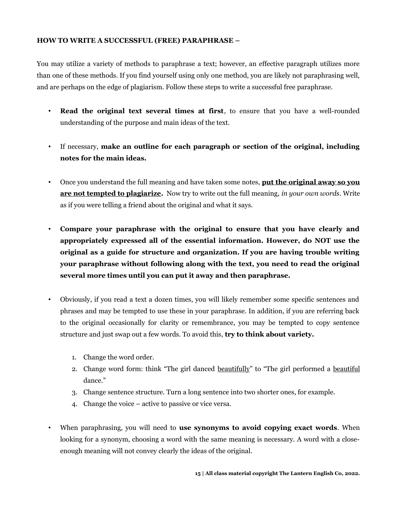## **HOW TO WRITE A SUCCESSFUL (FREE) PARAPHRASE –**

You may utilize a variety of methods to paraphrase a text; however, an effective paragraph utilizes more than one of these methods. If you find yourself using only one method, you are likely not paraphrasing well, and are perhaps on the edge of plagiarism. Follow these steps to write a successful free paraphrase.

- **Read the original text several times at first**, to ensure that you have a well-rounded understanding of the purpose and main ideas of the text.
- If necessary, **make an outline for each paragraph or section of the original, including notes for the main ideas.**
- Once you understand the full meaning and have taken some notes, **put the original away so you are not tempted to plagiarize.** Now try to write out the full meaning, *in your own words*. Write as if you were telling a friend about the original and what it says.
- **Compare your paraphrase with the original to ensure that you have clearly and appropriately expressed all of the essential information. However, do NOT use the original as a guide for structure and organization. If you are having trouble writing your paraphrase without following along with the text, you need to read the original several more times until you can put it away and then paraphrase.**
- Obviously, if you read a text a dozen times, you will likely remember some specific sentences and phrases and may be tempted to use these in your paraphrase. In addition, if you are referring back to the original occasionally for clarity or remembrance, you may be tempted to copy sentence structure and just swap out a few words. To avoid this, **try to think about variety.** 
	- 1. Change the word order.
	- 2. Change word form: think "The girl danced beautifully" to "The girl performed a beautiful dance."
	- 3. Change sentence structure. Turn a long sentence into two shorter ones, for example.
	- 4. Change the voice active to passive or vice versa.
- When paraphrasing, you will need to **use synonyms to avoid copying exact words**. When looking for a synonym, choosing a word with the same meaning is necessary. A word with a closeenough meaning will not convey clearly the ideas of the original.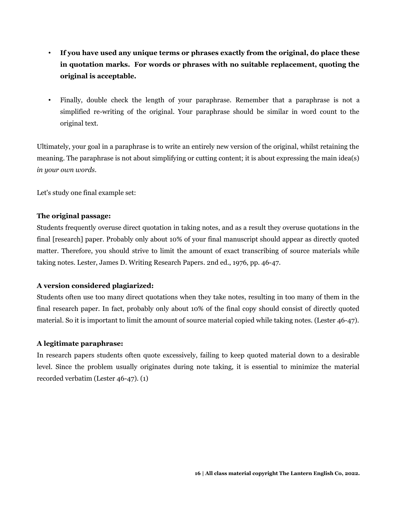- **If you have used any unique terms or phrases exactly from the original, do place these in quotation marks. For words or phrases with no suitable replacement, quoting the original is acceptable.**
- Finally, double check the length of your paraphrase. Remember that a paraphrase is not a simplified re-writing of the original. Your paraphrase should be similar in word count to the original text.

Ultimately, your goal in a paraphrase is to write an entirely new version of the original, whilst retaining the meaning. The paraphrase is not about simplifying or cutting content; it is about expressing the main idea(s) *in your own words.* 

Let's study one final example set:

### **The original passage:**

Students frequently overuse direct quotation in taking notes, and as a result they overuse quotations in the final [research] paper. Probably only about 10% of your final manuscript should appear as directly quoted matter. Therefore, you should strive to limit the amount of exact transcribing of source materials while taking notes. Lester, James D. Writing Research Papers. 2nd ed., 1976, pp. 46-47.

## **A version considered plagiarized:**

Students often use too many direct quotations when they take notes, resulting in too many of them in the final research paper. In fact, probably only about 10% of the final copy should consist of directly quoted material. So it is important to limit the amount of source material copied while taking notes. (Lester 46-47).

#### **A legitimate paraphrase:**

In research papers students often quote excessively, failing to keep quoted material down to a desirable level. Since the problem usually originates during note taking, it is essential to minimize the material recorded verbatim (Lester 46-47). (1)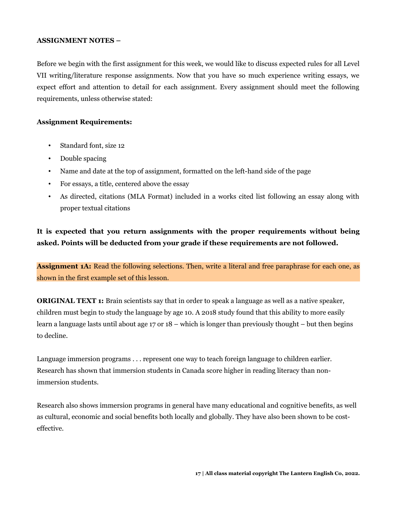#### **ASSIGNMENT NOTES –**

Before we begin with the first assignment for this week, we would like to discuss expected rules for all Level VII writing/literature response assignments. Now that you have so much experience writing essays, we expect effort and attention to detail for each assignment. Every assignment should meet the following requirements, unless otherwise stated:

### **Assignment Requirements:**

- Standard font, size 12
- Double spacing
- Name and date at the top of assignment, formatted on the left-hand side of the page
- For essays, a title, centered above the essay
- As directed, citations (MLA Format) included in a works cited list following an essay along with proper textual citations

## **It is expected that you return assignments with the proper requirements without being asked. Points will be deducted from your grade if these requirements are not followed.**

**Assignment 1A:** Read the following selections. Then, write a literal and free paraphrase for each one, as shown in the first example set of this lesson.

**ORIGINAL TEXT 1:** Brain scientists say that in order to speak a language as well as a native speaker, children must begin to study the language by age 10. A 2018 study found that this ability to more easily learn a language lasts until about age 17 or 18 – which is longer than previously thought – but then begins to decline.

Language immersion programs . . . represent one way to teach foreign language to children earlier. Research has shown that immersion students in Canada score higher in reading literacy than nonimmersion students.

Research also shows immersion programs in general have many educational and cognitive benefits, as well as cultural, economic and social benefits both locally and globally. They have also been shown to be costeffective.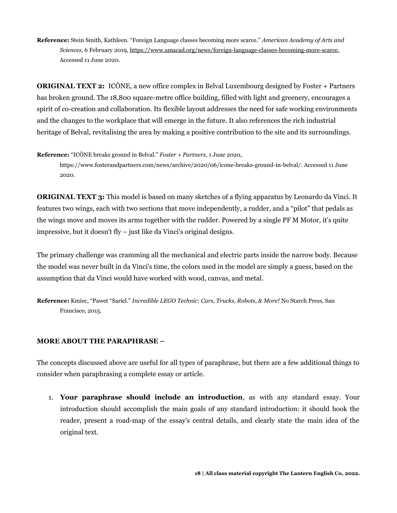**Reference:** Stein Smith, Kathleen. "Foreign Language classes becoming more scarce." *American Academy of Arts and Sciences,* 6 February 2019, https://www.amacad.org/news/foreign-language-classes-becoming-more-scarce. Accessed 11 June 2020.

**ORIGINAL TEXT 2:** ICÔNE, a new office complex in Belval Luxembourg designed by Foster + Partners has broken ground. The 18,800 square-metre office building, filled with light and greenery, encourages a spirit of co-creation and collaboration. Its flexible layout addresses the need for safe working environments and the changes to the workplace that will emerge in the future. It also references the rich industrial heritage of Belval, revitalising the area by making a positive contribution to the site and its surroundings.

**Reference:** "ICÔNE breaks ground in Belval." *Foster + Partners,* 1 June 2020,

https://www.fosterandpartners.com/news/archive/2020/06/icone-breaks-ground-in-belval/. Accessed 11 June 2020.

**ORIGINAL TEXT 3:** This model is based on many sketches of a flying apparatus by Leonardo da Vinci. It features two wings, each with two sections that move independently, a rudder, and a "pilot" that pedals as the wings move and moves its arms together with the rudder. Powered by a single PF M Motor, it's quite impressive, but it doesn't fly – just like da Vinci's original designs.

The primary challenge was cramming all the mechanical and electric parts inside the narrow body. Because the model was never built in da Vinci's time, the colors used in the model are simply a guess, based on the assumption that da Vinci would have worked with wood, canvas, and metal.

**Reference:** Kmiec, "Pawet "Sariel." *Incredible LEGO Technic: Cars, Trucks, Robots, & More!* No Starch Press, San Francisco, 2015.

#### **MORE ABOUT THE PARAPHRASE –**

The concepts discussed above are useful for all types of paraphrase, but there are a few additional things to consider when paraphrasing a complete essay or article.

1. **Your paraphrase should include an introduction**, as with any standard essay. Your introduction should accomplish the main goals of any standard introduction: it should hook the reader, present a road-map of the essay's central details, and clearly state the main idea of the original text.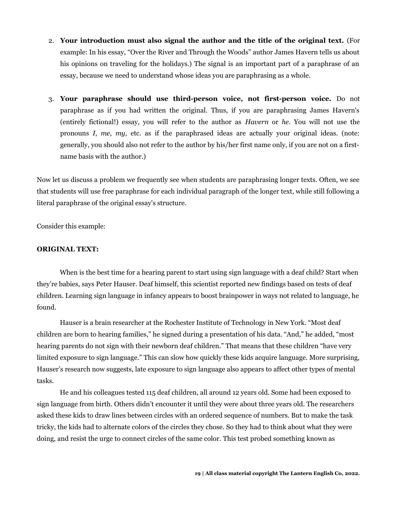- 2. **Your introduction must also signal the author and the title of the original text.** (For example: In his essay, "Over the River and Through the Woods" author James Havern tells us about his opinions on traveling for the holidays.) The signal is an important part of a paraphrase of an essay, because we need to understand whose ideas you are paraphrasing as a whole.
- 3. **Your paraphrase should use third-person voice, not first-person voice.** Do not paraphrase as if you had written the original. Thus, if you are paraphrasing James Havern's (entirely fictional!) essay, you will refer to the author as *Havern* or *he*. You will not use the pronouns *I*, *me*, *my*, etc. as if the paraphrased ideas are actually your original ideas. (note: generally, you should also not refer to the author by his/her first name only, if you are not on a firstname basis with the author.)

Now let us discuss a problem we frequently see when students are paraphrasing longer texts. Often, we see that students will use free paraphrase for each individual paragraph of the longer text, while still following a literal paraphrase of the original essay's structure.

Consider this example:

### **ORIGINAL TEXT:**

When is the best time for a hearing parent to start using sign language with a deaf child? Start when they're babies, says Peter Hauser. Deaf himself, this scientist reported new findings based on tests of deaf children. Learning sign language in infancy appears to boost brainpower in ways not related to language, he found.

Hauser is a brain researcher at the Rochester Institute of Technology in New York. "Most deaf children are born to hearing families," he signed during a presentation of his data. "And," he added, "most hearing parents do not sign with their newborn deaf children." That means that these children "have very limited exposure to sign language." This can slow how quickly these kids acquire language. More surprising, Hauser's research now suggests, late exposure to sign language also appears to affect other types of mental tasks.

He and his colleagues tested 115 deaf children, all around 12 years old. Some had been exposed to sign language from birth. Others didn't encounter it until they were about three years old. The researchers asked these kids to draw lines between circles with an ordered sequence of numbers. But to make the task tricky, the kids had to alternate colors of the circles they chose. So they had to think about what they were doing, and resist the urge to connect circles of the same color. This test probed something known as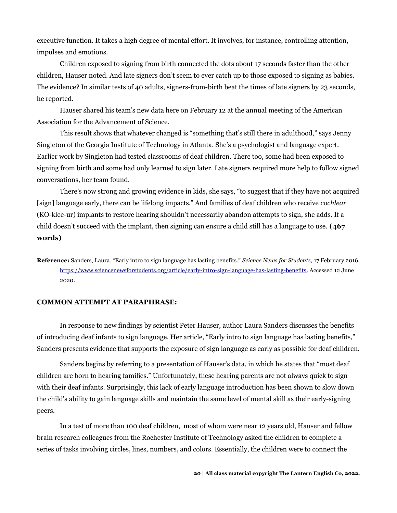executive function. It takes a high degree of mental effort. It involves, for instance, controlling attention, impulses and emotions.

Children exposed to signing from birth connected the dots about 17 seconds faster than the other children, Hauser noted. And late signers don't seem to ever catch up to those exposed to signing as babies. The evidence? In similar tests of 40 adults, signers-from-birth beat the times of late signers by 23 seconds, he reported.

Hauser shared his team's new data here on February 12 at the annual meeting of the American Association for the Advancement of Science.

This result shows that whatever changed is "something that's still there in adulthood," says Jenny Singleton of the Georgia Institute of Technology in Atlanta. She's a psychologist and language expert. Earlier work by Singleton had tested classrooms of deaf children. There too, some had been exposed to signing from birth and some had only learned to sign later. Late signers required more help to follow signed conversations, her team found.

There's now strong and growing evidence in kids, she says, "to suggest that if they have not acquired [sign] language early, there can be lifelong impacts." And families of deaf children who receive *cochlear*  (KO-klee-ur) implants to restore hearing shouldn't necessarily abandon attempts to sign, she adds. If a child doesn't succeed with the implant, then signing can ensure a child still has a language to use. **(467 words)**

**Reference:** Sanders, Laura. "Early intro to sign language has lasting benefits." *Science News for Students,* 17 February 2016, [https://www.sciencenewsforstudents.org/article/early-intro-sign-language-has-lasting-benefits.](https://www.sciencenewsforstudents.org/article/early-intro-sign-language-has-lasting-benefits) Accessed 12 June 2020.

#### **COMMON ATTEMPT AT PARAPHRASE:**

In response to new findings by scientist Peter Hauser, author Laura Sanders discusses the benefits of introducing deaf infants to sign language. Her article, "Early intro to sign language has lasting benefits," Sanders presents evidence that supports the exposure of sign language as early as possible for deaf children.

Sanders begins by referring to a presentation of Hauser's data, in which he states that "most deaf children are born to hearing families." Unfortunately, these hearing parents are not always quick to sign with their deaf infants. Surprisingly, this lack of early language introduction has been shown to slow down the child's ability to gain language skills and maintain the same level of mental skill as their early-signing peers.

In a test of more than 100 deaf children, most of whom were near 12 years old, Hauser and fellow brain research colleagues from the Rochester Institute of Technology asked the children to complete a series of tasks involving circles, lines, numbers, and colors. Essentially, the children were to connect the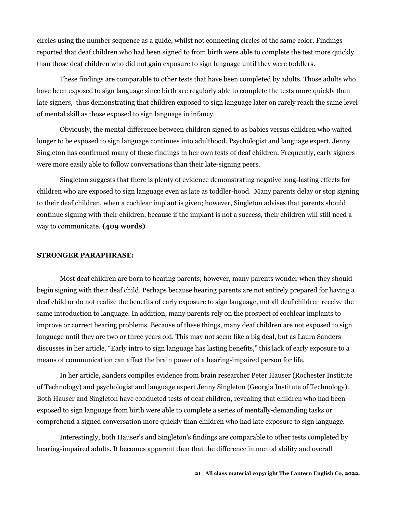circles using the number sequence as a guide, whilst not connecting circles of the same color. Findings reported that deaf children who had been signed to from birth were able to complete the test more quickly than those deaf children who did not gain exposure to sign language until they were toddlers.

These findings are comparable to other tests that have been completed by adults. Those adults who have been exposed to sign language since birth are regularly able to complete the tests more quickly than late signers, thus demonstrating that children exposed to sign language later on rarely reach the same level of mental skill as those exposed to sign language in infancy.

Obviously, the mental difference between children signed to as babies versus children who waited longer to be exposed to sign language continues into adulthood. Psychologist and language expert, Jenny Singleton has confirmed many of these findings in her own tests of deaf children. Frequently, early signers were more easily able to follow conversations than their late-signing peers.

Singleton suggests that there is plenty of evidence demonstrating negative long-lasting effects for children who are exposed to sign language even as late as toddler-hood. Many parents delay or stop signing to their deaf children, when a cochlear implant is given; however, Singleton advises that parents should continue signing with their children, because if the implant is not a success, their children will still need a way to communicate. **(409 words)**

#### **STRONGER PARAPHRASE:**

Most deaf children are born to hearing parents; however, many parents wonder when they should begin signing with their deaf child. Perhaps because hearing parents are not entirely prepared for having a deaf child or do not realize the benefits of early exposure to sign language, not all deaf children receive the same introduction to language. In addition, many parents rely on the prospect of cochlear implants to improve or correct hearing problems. Because of these things, many deaf children are not exposed to sign language until they are two or three years old. This may not seem like a big deal, but as Laura Sanders discusses in her article, "Early intro to sign language has lasting benefits," this lack of early exposure to a means of communication can affect the brain power of a hearing-impaired person for life.

In her article, Sanders compiles evidence from brain researcher Peter Hauser (Rochester Institute of Technology) and psychologist and language expert Jenny Singleton (Georgia Institute of Technology). Both Hauser and Singleton have conducted tests of deaf children, revealing that children who had been exposed to sign language from birth were able to complete a series of mentally-demanding tasks or comprehend a signed conversation more quickly than children who had late exposure to sign language.

Interestingly, both Hauser's and Singleton's findings are comparable to other tests completed by hearing-impaired adults. It becomes apparent then that the difference in mental ability and overall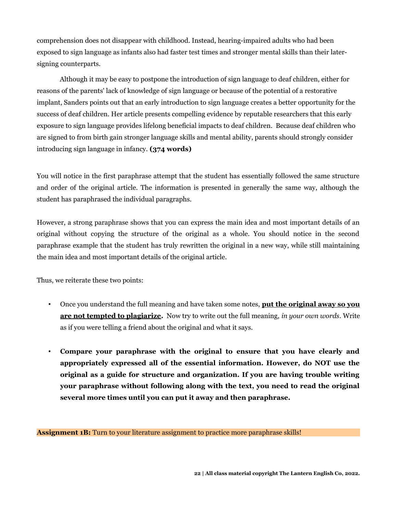comprehension does not disappear with childhood. Instead, hearing-impaired adults who had been exposed to sign language as infants also had faster test times and stronger mental skills than their latersigning counterparts.

Although it may be easy to postpone the introduction of sign language to deaf children, either for reasons of the parents' lack of knowledge of sign language or because of the potential of a restorative implant, Sanders points out that an early introduction to sign language creates a better opportunity for the success of deaf children. Her article presents compelling evidence by reputable researchers that this early exposure to sign language provides lifelong beneficial impacts to deaf children. Because deaf children who are signed to from birth gain stronger language skills and mental ability, parents should strongly consider introducing sign language in infancy. **(374 words)**

You will notice in the first paraphrase attempt that the student has essentially followed the same structure and order of the original article. The information is presented in generally the same way, although the student has paraphrased the individual paragraphs.

However, a strong paraphrase shows that you can express the main idea and most important details of an original without copying the structure of the original as a whole. You should notice in the second paraphrase example that the student has truly rewritten the original in a new way, while still maintaining the main idea and most important details of the original article.

Thus, we reiterate these two points:

- Once you understand the full meaning and have taken some notes, **put the original away so you are not tempted to plagiarize.** Now try to write out the full meaning, *in your own words*. Write as if you were telling a friend about the original and what it says.
- **Compare your paraphrase with the original to ensure that you have clearly and appropriately expressed all of the essential information. However, do NOT use the original as a guide for structure and organization. If you are having trouble writing your paraphrase without following along with the text, you need to read the original several more times until you can put it away and then paraphrase.**

**Assignment 1B:** Turn to your literature assignment to practice more paraphrase skills!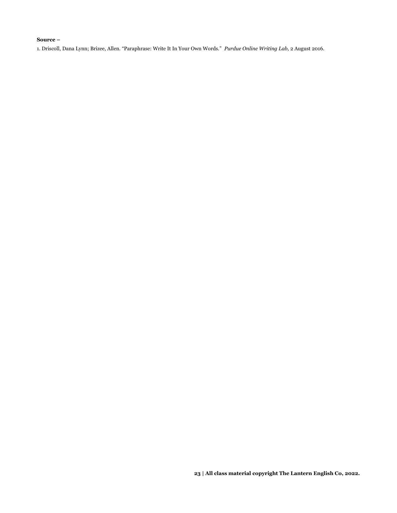#### **Source –**

1. Driscoll, Dana Lynn; Brizee, Allen. "Paraphrase: Write It In Your Own Words." *Purdue Online Writing Lab,* 2 August 2016.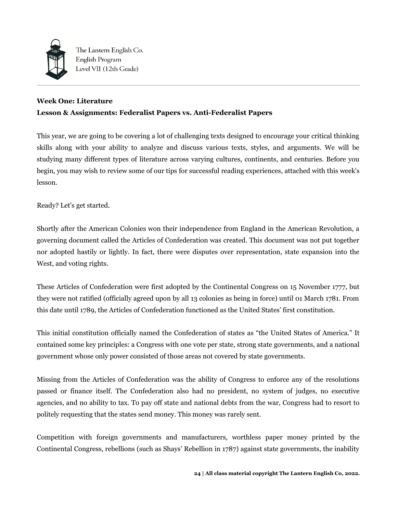

The Lantern English Co. English Program Level VII (12th Grade)

#### **Week One: Literature**

## **Lesson & Assignments: Federalist Papers vs. Anti-Federalist Papers**

This year, we are going to be covering a lot of challenging texts designed to encourage your critical thinking skills along with your ability to analyze and discuss various texts, styles, and arguments. We will be studying many different types of literature across varying cultures, continents, and centuries. Before you begin, you may wish to review some of our tips for successful reading experiences, attached with this week's lesson.

Ready? Let's get started.

Shortly after the American Colonies won their independence from England in the American Revolution, a governing document called the Articles of Confederation was created. This document was not put together nor adopted hastily or lightly. In fact, there were disputes over representation, state expansion into the West, and voting rights.

These Articles of Confederation were first adopted by the Continental Congress on 15 November 1777, but they were not ratified (officially agreed upon by all 13 colonies as being in force) until 01 March 1781. From this date until 1789, the Articles of Confederation functioned as the United States' first constitution.

This initial constitution officially named the Confederation of states as "the United States of America." It contained some key principles: a Congress with one vote per state, strong state governments, and a national government whose only power consisted of those areas not covered by state governments.

Missing from the Articles of Confederation was the ability of Congress to enforce any of the resolutions passed or finance itself. The Confederation also had no president, no system of judges, no executive agencies, and no ability to tax. To pay off state and national debts from the war, Congress had to resort to politely requesting that the states send money. This money was rarely sent.

Competition with foreign governments and manufacturers, worthless paper money printed by the Continental Congress, rebellions (such as Shays' Rebellion in 1787) against state governments, the inability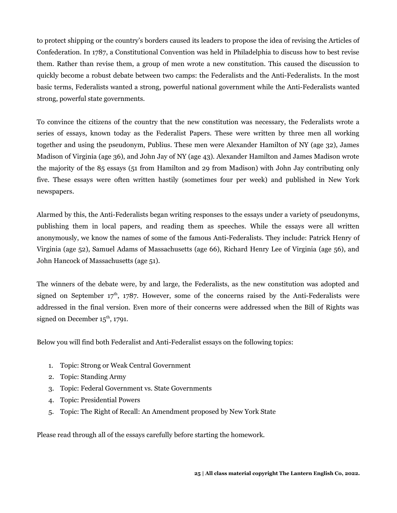to protect shipping or the country's borders caused its leaders to propose the idea of revising the Articles of Confederation. In 1787, a Constitutional Convention was held in Philadelphia to discuss how to best revise them. Rather than revise them, a group of men wrote a new constitution. This caused the discussion to quickly become a robust debate between two camps: the Federalists and the Anti-Federalists. In the most basic terms, Federalists wanted a strong, powerful national government while the Anti-Federalists wanted strong, powerful state governments.

To convince the citizens of the country that the new constitution was necessary, the Federalists wrote a series of essays, known today as the Federalist Papers. These were written by three men all working together and using the pseudonym, Publius. These men were Alexander Hamilton of NY (age 32), James Madison of Virginia (age 36), and John Jay of NY (age 43). Alexander Hamilton and James Madison wrote the majority of the 85 essays (51 from Hamilton and 29 from Madison) with John Jay contributing only five. These essays were often written hastily (sometimes four per week) and published in New York newspapers.

Alarmed by this, the Anti-Federalists began writing responses to the essays under a variety of pseudonyms, publishing them in local papers, and reading them as speeches. While the essays were all written anonymously, we know the names of some of the famous Anti-Federalists. They include: Patrick Henry of Virginia (age 52), Samuel Adams of Massachusetts (age 66), Richard Henry Lee of Virginia (age 56), and John Hancock of Massachusetts (age 51).

The winners of the debate were, by and large, the Federalists, as the new constitution was adopted and signed on September  $17<sup>th</sup>$ , 1787. However, some of the concerns raised by the Anti-Federalists were addressed in the final version. Even more of their concerns were addressed when the Bill of Rights was signed on December  $15^{th}$ , 1791.

Below you will find both Federalist and Anti-Federalist essays on the following topics:

- 1. Topic: Strong or Weak Central Government
- 2. Topic: Standing Army
- 3. Topic: Federal Government vs. State Governments
- 4. Topic: Presidential Powers
- 5. Topic: The Right of Recall: An Amendment proposed by New York State

Please read through all of the essays carefully before starting the homework.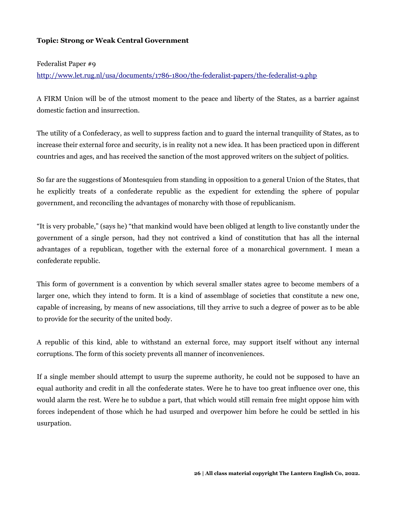## **Topic: Strong or Weak Central Government**

#### Federalist Paper #9

<http://www.let.rug.nl/usa/documents/1786-1800/the-federalist-papers/the-federalist-9.php>

A FIRM Union will be of the utmost moment to the peace and liberty of the States, as a barrier against domestic faction and insurrection.

The utility of a Confederacy, as well to suppress faction and to guard the internal tranquility of States, as to increase their external force and security, is in reality not a new idea. It has been practiced upon in different countries and ages, and has received the sanction of the most approved writers on the subject of politics.

So far are the suggestions of Montesquieu from standing in opposition to a general Union of the States, that he explicitly treats of a confederate republic as the expedient for extending the sphere of popular government, and reconciling the advantages of monarchy with those of republicanism.

"It is very probable," (says he) "that mankind would have been obliged at length to live constantly under the government of a single person, had they not contrived a kind of constitution that has all the internal advantages of a republican, together with the external force of a monarchical government. I mean a confederate republic.

This form of government is a convention by which several smaller states agree to become members of a larger one, which they intend to form. It is a kind of assemblage of societies that constitute a new one, capable of increasing, by means of new associations, till they arrive to such a degree of power as to be able to provide for the security of the united body.

A republic of this kind, able to withstand an external force, may support itself without any internal corruptions. The form of this society prevents all manner of inconveniences.

If a single member should attempt to usurp the supreme authority, he could not be supposed to have an equal authority and credit in all the confederate states. Were he to have too great influence over one, this would alarm the rest. Were he to subdue a part, that which would still remain free might oppose him with forces independent of those which he had usurped and overpower him before he could be settled in his usurpation.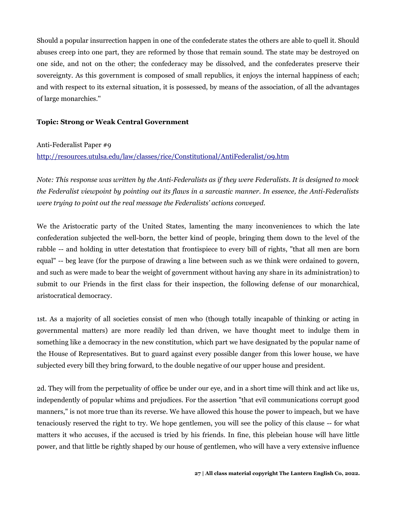Should a popular insurrection happen in one of the confederate states the others are able to quell it. Should abuses creep into one part, they are reformed by those that remain sound. The state may be destroyed on one side, and not on the other; the confederacy may be dissolved, and the confederates preserve their sovereignty. As this government is composed of small republics, it enjoys the internal happiness of each; and with respect to its external situation, it is possessed, by means of the association, of all the advantages of large monarchies.''

#### **Topic: Strong or Weak Central Government**

#### Anti-Federalist Paper #9

<http://resources.utulsa.edu/law/classes/rice/Constitutional/AntiFederalist/09.htm>

*Note: This response was written by the Anti-Federalists as if they were Federalists. It is designed to mock the Federalist viewpoint by pointing out its flaws in a sarcastic manner. In essence, the Anti-Federalists were trying to point out the real message the Federalists' actions conveyed.*

We the Aristocratic party of the United States, lamenting the many inconveniences to which the late confederation subjected the well-born, the better kind of people, bringing them down to the level of the rabble -- and holding in utter detestation that frontispiece to every bill of rights, "that all men are born equal" -- beg leave (for the purpose of drawing a line between such as we think were ordained to govern, and such as were made to bear the weight of government without having any share in its administration) to submit to our Friends in the first class for their inspection, the following defense of our monarchical, aristocratical democracy.

1st. As a majority of all societies consist of men who (though totally incapable of thinking or acting in governmental matters) are more readily led than driven, we have thought meet to indulge them in something like a democracy in the new constitution, which part we have designated by the popular name of the House of Representatives. But to guard against every possible danger from this lower house, we have subjected every bill they bring forward, to the double negative of our upper house and president.

2d. They will from the perpetuality of office be under our eye, and in a short time will think and act like us, independently of popular whims and prejudices. For the assertion "that evil communications corrupt good manners," is not more true than its reverse. We have allowed this house the power to impeach, but we have tenaciously reserved the right to try. We hope gentlemen, you will see the policy of this clause -- for what matters it who accuses, if the accused is tried by his friends. In fine, this plebeian house will have little power, and that little be rightly shaped by our house of gentlemen, who will have a very extensive influence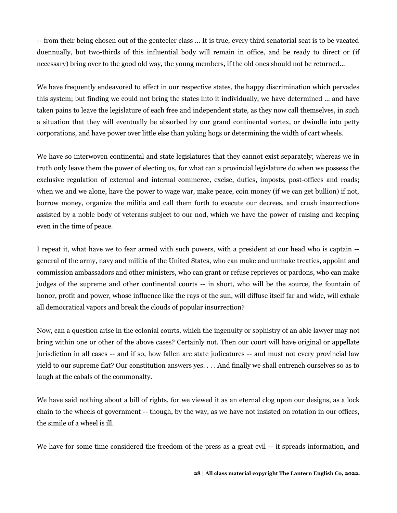-- from their being chosen out of the genteeler class ... It is true, every third senatorial seat is to be vacated duennually, but two-thirds of this influential body will remain in office, and be ready to direct or (if necessary) bring over to the good old way, the young members, if the old ones should not be returned...

We have frequently endeavored to effect in our respective states, the happy discrimination which pervades this system; but finding we could not bring the states into it individually, we have determined ... and have taken pains to leave the legislature of each free and independent state, as they now call themselves, in such a situation that they will eventually be absorbed by our grand continental vortex, or dwindle into petty corporations, and have power over little else than yoking hogs or determining the width of cart wheels.

We have so interwoven continental and state legislatures that they cannot exist separately; whereas we in truth only leave them the power of electing us, for what can a provincial legislature do when we possess the exclusive regulation of external and internal commerce, excise, duties, imposts, post-offices and roads; when we and we alone, have the power to wage war, make peace, coin money (if we can get bullion) if not, borrow money, organize the militia and call them forth to execute our decrees, and crush insurrections assisted by a noble body of veterans subject to our nod, which we have the power of raising and keeping even in the time of peace.

I repeat it, what have we to fear armed with such powers, with a president at our head who is captain - general of the army, navy and militia of the United States, who can make and unmake treaties, appoint and commission ambassadors and other ministers, who can grant or refuse reprieves or pardons, who can make judges of the supreme and other continental courts -- in short, who will be the source, the fountain of honor, profit and power, whose influence like the rays of the sun, will diffuse itself far and wide, will exhale all democratical vapors and break the clouds of popular insurrection?

Now, can a question arise in the colonial courts, which the ingenuity or sophistry of an able lawyer may not bring within one or other of the above cases? Certainly not. Then our court will have original or appellate jurisdiction in all cases -- and if so, how fallen are state judicatures -- and must not every provincial law yield to our supreme flat? Our constitution answers yes. . . . And finally we shall entrench ourselves so as to laugh at the cabals of the commonalty.

We have said nothing about a bill of rights, for we viewed it as an eternal clog upon our designs, as a lock chain to the wheels of government -- though, by the way, as we have not insisted on rotation in our offices, the simile of a wheel is ill.

We have for some time considered the freedom of the press as a great evil -- it spreads information, and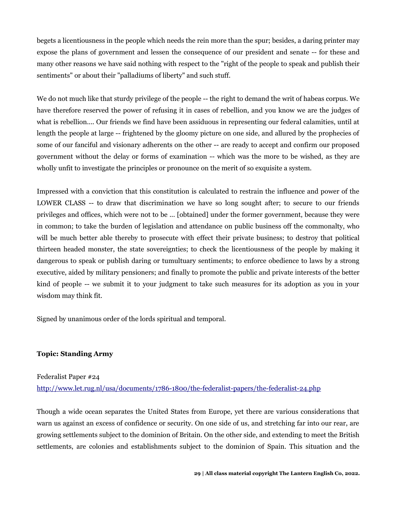begets a licentiousness in the people which needs the rein more than the spur; besides, a daring printer may expose the plans of government and lessen the consequence of our president and senate -- for these and many other reasons we have said nothing with respect to the "right of the people to speak and publish their sentiments" or about their "palladiums of liberty" and such stuff.

We do not much like that sturdy privilege of the people -- the right to demand the writ of habeas corpus. We have therefore reserved the power of refusing it in cases of rebellion, and you know we are the judges of what is rebellion.... Our friends we find have been assiduous in representing our federal calamities, until at length the people at large -- frightened by the gloomy picture on one side, and allured by the prophecies of some of our fanciful and visionary adherents on the other -- are ready to accept and confirm our proposed government without the delay or forms of examination -- which was the more to be wished, as they are wholly unfit to investigate the principles or pronounce on the merit of so exquisite a system.

Impressed with a conviction that this constitution is calculated to restrain the influence and power of the LOWER CLASS -- to draw that discrimination we have so long sought after; to secure to our friends privileges and offices, which were not to be ... [obtained] under the former government, because they were in common; to take the burden of legislation and attendance on public business off the commonalty, who will be much better able thereby to prosecute with effect their private business; to destroy that political thirteen headed monster, the state sovereignties; to check the licentiousness of the people by making it dangerous to speak or publish daring or tumultuary sentiments; to enforce obedience to laws by a strong executive, aided by military pensioners; and finally to promote the public and private interests of the better kind of people -- we submit it to your judgment to take such measures for its adoption as you in your wisdom may think fit.

Signed by unanimous order of the lords spiritual and temporal.

## **Topic: Standing Army**

#### Federalist Paper #24

<http://www.let.rug.nl/usa/documents/1786-1800/the-federalist-papers/the-federalist-24.php>

Though a wide ocean separates the United States from Europe, yet there are various considerations that warn us against an excess of confidence or security. On one side of us, and stretching far into our rear, are growing settlements subject to the dominion of Britain. On the other side, and extending to meet the British settlements, are colonies and establishments subject to the dominion of Spain. This situation and the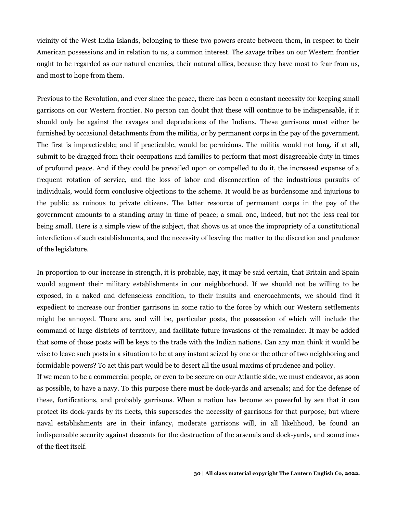vicinity of the West India Islands, belonging to these two powers create between them, in respect to their American possessions and in relation to us, a common interest. The savage tribes on our Western frontier ought to be regarded as our natural enemies, their natural allies, because they have most to fear from us, and most to hope from them.

Previous to the Revolution, and ever since the peace, there has been a constant necessity for keeping small garrisons on our Western frontier. No person can doubt that these will continue to be indispensable, if it should only be against the ravages and depredations of the Indians. These garrisons must either be furnished by occasional detachments from the militia, or by permanent corps in the pay of the government. The first is impracticable; and if practicable, would be pernicious. The militia would not long, if at all, submit to be dragged from their occupations and families to perform that most disagreeable duty in times of profound peace. And if they could be prevailed upon or compelled to do it, the increased expense of a frequent rotation of service, and the loss of labor and disconcertion of the industrious pursuits of individuals, would form conclusive objections to the scheme. It would be as burdensome and injurious to the public as ruinous to private citizens. The latter resource of permanent corps in the pay of the government amounts to a standing army in time of peace; a small one, indeed, but not the less real for being small. Here is a simple view of the subject, that shows us at once the impropriety of a constitutional interdiction of such establishments, and the necessity of leaving the matter to the discretion and prudence of the legislature.

In proportion to our increase in strength, it is probable, nay, it may be said certain, that Britain and Spain would augment their military establishments in our neighborhood. If we should not be willing to be exposed, in a naked and defenseless condition, to their insults and encroachments, we should find it expedient to increase our frontier garrisons in some ratio to the force by which our Western settlements might be annoyed. There are, and will be, particular posts, the possession of which will include the command of large districts of territory, and facilitate future invasions of the remainder. It may be added that some of those posts will be keys to the trade with the Indian nations. Can any man think it would be wise to leave such posts in a situation to be at any instant seized by one or the other of two neighboring and formidable powers? To act this part would be to desert all the usual maxims of prudence and policy.

If we mean to be a commercial people, or even to be secure on our Atlantic side, we must endeavor, as soon as possible, to have a navy. To this purpose there must be dock-yards and arsenals; and for the defense of these, fortifications, and probably garrisons. When a nation has become so powerful by sea that it can protect its dock-yards by its fleets, this supersedes the necessity of garrisons for that purpose; but where naval establishments are in their infancy, moderate garrisons will, in all likelihood, be found an indispensable security against descents for the destruction of the arsenals and dock-yards, and sometimes of the fleet itself.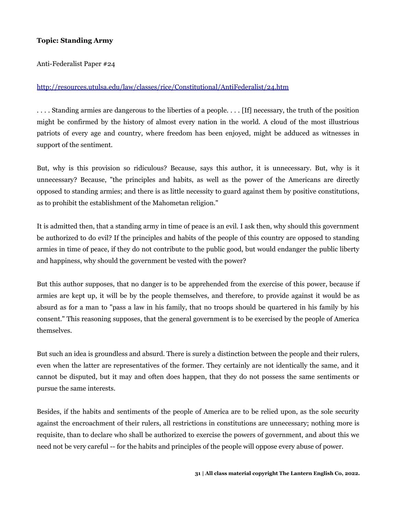## **Topic: Standing Army**

Anti-Federalist Paper #24

## <http://resources.utulsa.edu/law/classes/rice/Constitutional/AntiFederalist/24.htm>

. . . . Standing armies are dangerous to the liberties of a people. . . . [If] necessary, the truth of the position might be confirmed by the history of almost every nation in the world. A cloud of the most illustrious patriots of every age and country, where freedom has been enjoyed, might be adduced as witnesses in support of the sentiment.

But, why is this provision so ridiculous? Because, says this author, it is unnecessary. But, why is it unnecessary? Because, "the principles and habits, as well as the power of the Americans are directly opposed to standing armies; and there is as little necessity to guard against them by positive constitutions, as to prohibit the establishment of the Mahometan religion."

It is admitted then, that a standing army in time of peace is an evil. I ask then, why should this government be authorized to do evil? If the principles and habits of the people of this country are opposed to standing armies in time of peace, if they do not contribute to the public good, but would endanger the public liberty and happiness, why should the government be vested with the power?

But this author supposes, that no danger is to be apprehended from the exercise of this power, because if armies are kept up, it will be by the people themselves, and therefore, to provide against it would be as absurd as for a man to "pass a law in his family, that no troops should be quartered in his family by his consent." This reasoning supposes, that the general government is to be exercised by the people of America themselves.

But such an idea is groundless and absurd. There is surely a distinction between the people and their rulers, even when the latter are representatives of the former. They certainly are not identically the same, and it cannot be disputed, but it may and often does happen, that they do not possess the same sentiments or pursue the same interests.

Besides, if the habits and sentiments of the people of America are to be relied upon, as the sole security against the encroachment of their rulers, all restrictions in constitutions are unnecessary; nothing more is requisite, than to declare who shall be authorized to exercise the powers of government, and about this we need not be very careful -- for the habits and principles of the people will oppose every abuse of power.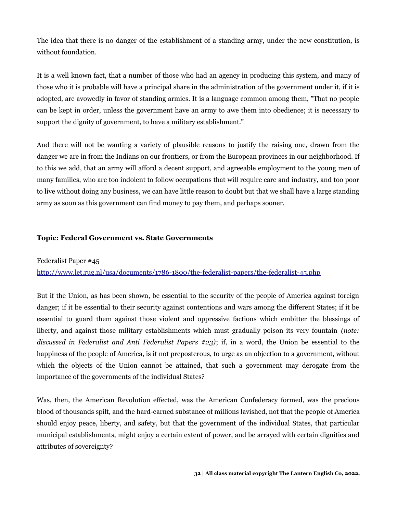The idea that there is no danger of the establishment of a standing army, under the new constitution, is without foundation.

It is a well known fact, that a number of those who had an agency in producing this system, and many of those who it is probable will have a principal share in the administration of the government under it, if it is adopted, are avowedly in favor of standing armies. It is a language common among them, "That no people can be kept in order, unless the government have an army to awe them into obedience; it is necessary to support the dignity of government, to have a military establishment."

And there will not be wanting a variety of plausible reasons to justify the raising one, drawn from the danger we are in from the Indians on our frontiers, or from the European provinces in our neighborhood. If to this we add, that an army will afford a decent support, and agreeable employment to the young men of many families, who are too indolent to follow occupations that will require care and industry, and too poor to live without doing any business, we can have little reason to doubt but that we shall have a large standing army as soon as this government can find money to pay them, and perhaps sooner.

#### **Topic: Federal Government vs. State Governments**

#### Federalist Paper #45

<http://www.let.rug.nl/usa/documents/1786-1800/the-federalist-papers/the-federalist-45.php>

But if the Union, as has been shown, be essential to the security of the people of America against foreign danger; if it be essential to their security against contentions and wars among the different States; if it be essential to guard them against those violent and oppressive factions which embitter the blessings of liberty, and against those military establishments which must gradually poison its very fountain *(note: discussed in Federalist and Anti Federalist Papers #23)*; if, in a word, the Union be essential to the happiness of the people of America, is it not preposterous, to urge as an objection to a government, without which the objects of the Union cannot be attained, that such a government may derogate from the importance of the governments of the individual States?

Was, then, the American Revolution effected, was the American Confederacy formed, was the precious blood of thousands spilt, and the hard-earned substance of millions lavished, not that the people of America should enjoy peace, liberty, and safety, but that the government of the individual States, that particular municipal establishments, might enjoy a certain extent of power, and be arrayed with certain dignities and attributes of sovereignty?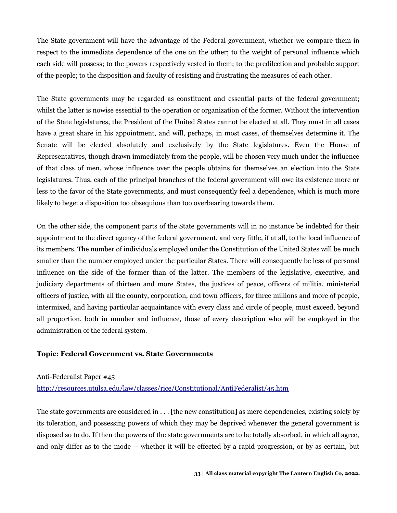The State government will have the advantage of the Federal government, whether we compare them in respect to the immediate dependence of the one on the other; to the weight of personal influence which each side will possess; to the powers respectively vested in them; to the predilection and probable support of the people; to the disposition and faculty of resisting and frustrating the measures of each other.

The State governments may be regarded as constituent and essential parts of the federal government; whilst the latter is nowise essential to the operation or organization of the former. Without the intervention of the State legislatures, the President of the United States cannot be elected at all. They must in all cases have a great share in his appointment, and will, perhaps, in most cases, of themselves determine it. The Senate will be elected absolutely and exclusively by the State legislatures. Even the House of Representatives, though drawn immediately from the people, will be chosen very much under the influence of that class of men, whose influence over the people obtains for themselves an election into the State legislatures. Thus, each of the principal branches of the federal government will owe its existence more or less to the favor of the State governments, and must consequently feel a dependence, which is much more likely to beget a disposition too obsequious than too overbearing towards them.

On the other side, the component parts of the State governments will in no instance be indebted for their appointment to the direct agency of the federal government, and very little, if at all, to the local influence of its members. The number of individuals employed under the Constitution of the United States will be much smaller than the number employed under the particular States. There will consequently be less of personal influence on the side of the former than of the latter. The members of the legislative, executive, and judiciary departments of thirteen and more States, the justices of peace, officers of militia, ministerial officers of justice, with all the county, corporation, and town officers, for three millions and more of people, intermixed, and having particular acquaintance with every class and circle of people, must exceed, beyond all proportion, both in number and influence, those of every description who will be employed in the administration of the federal system.

#### **Topic: Federal Government vs. State Governments**

#### Anti-Federalist Paper #45

<http://resources.utulsa.edu/law/classes/rice/Constitutional/AntiFederalist/45.htm>

The state governments are considered in . . . [the new constitution] as mere dependencies, existing solely by its toleration, and possessing powers of which they may be deprived whenever the general government is disposed so to do. If then the powers of the state governments are to be totally absorbed, in which all agree, and only differ as to the mode -- whether it will be effected by a rapid progression, or by as certain, but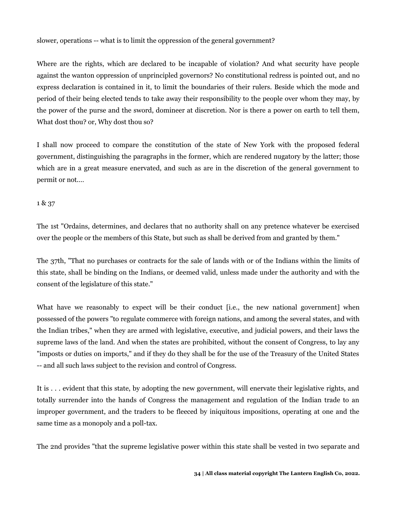slower, operations -- what is to limit the oppression of the general government?

Where are the rights, which are declared to be incapable of violation? And what security have people against the wanton oppression of unprincipled governors? No constitutional redress is pointed out, and no express declaration is contained in it, to limit the boundaries of their rulers. Beside which the mode and period of their being elected tends to take away their responsibility to the people over whom they may, by the power of the purse and the sword, domineer at discretion. Nor is there a power on earth to tell them, What dost thou? or, Why dost thou so?

I shall now proceed to compare the constitution of the state of New York with the proposed federal government, distinguishing the paragraphs in the former, which are rendered nugatory by the latter; those which are in a great measure enervated, and such as are in the discretion of the general government to permit or not.…

1 & 37

The 1st "Ordains, determines, and declares that no authority shall on any pretence whatever be exercised over the people or the members of this State, but such as shall be derived from and granted by them."

The 37th, "That no purchases or contracts for the sale of lands with or of the Indians within the limits of this state, shall be binding on the Indians, or deemed valid, unless made under the authority and with the consent of the legislature of this state."

What have we reasonably to expect will be their conduct [i.e., the new national government] when possessed of the powers "to regulate commerce with foreign nations, and among the several states, and with the Indian tribes," when they are armed with legislative, executive, and judicial powers, and their laws the supreme laws of the land. And when the states are prohibited, without the consent of Congress, to lay any "imposts or duties on imports," and if they do they shall be for the use of the Treasury of the United States -- and all such laws subject to the revision and control of Congress.

It is . . . evident that this state, by adopting the new government, will enervate their legislative rights, and totally surrender into the hands of Congress the management and regulation of the Indian trade to an improper government, and the traders to be fleeced by iniquitous impositions, operating at one and the same time as a monopoly and a poll-tax.

The 2nd provides "that the supreme legislative power within this state shall be vested in two separate and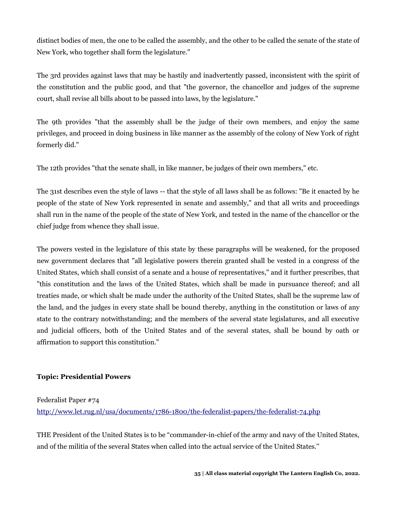distinct bodies of men, the one to be called the assembly, and the other to be called the senate of the state of New York, who together shall form the legislature."

The 3rd provides against laws that may be hastily and inadvertently passed, inconsistent with the spirit of the constitution and the public good, and that "the governor, the chancellor and judges of the supreme court, shall revise all bills about to be passed into laws, by the legislature."

The 9th provides "that the assembly shall be the judge of their own members, and enjoy the same privileges, and proceed in doing business in like manner as the assembly of the colony of New York of right formerly did."

The 12th provides "that the senate shall, in like manner, be judges of their own members," etc.

The 31st describes even the style of laws -- that the style of all laws shall be as follows: "Be it enacted by he people of the state of New York represented in senate and assembly," and that all writs and proceedings shall run in the name of the people of the state of New York, and tested in the name of the chancellor or the chief judge from whence they shall issue.

The powers vested in the legislature of this state by these paragraphs will be weakened, for the proposed new government declares that "all legislative powers therein granted shall be vested in a congress of the United States, which shall consist of a senate and a house of representatives," and it further prescribes, that "this constitution and the laws of the United States, which shall be made in pursuance thereof; and all treaties made, or which shalt be made under the authority of the United States, shall be the supreme law of the land, and the judges in every state shall be bound thereby, anything in the constitution or laws of any state to the contrary notwithstanding; and the members of the several state legislatures, and all executive and judicial officers, both of the United States and of the several states, shall be bound by oath or affirmation to support this constitution."

## **Topic: Presidential Powers**

#### Federalist Paper #74

<http://www.let.rug.nl/usa/documents/1786-1800/the-federalist-papers/the-federalist-74.php>

THE President of the United States is to be "commander-in-chief of the army and navy of the United States, and of the militia of the several States when called into the actual service of the United States.''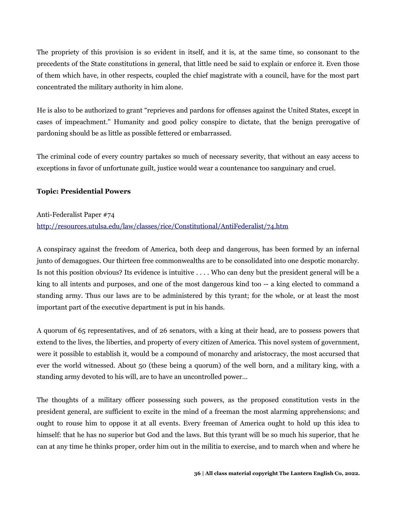The propriety of this provision is so evident in itself, and it is, at the same time, so consonant to the precedents of the State constitutions in general, that little need be said to explain or enforce it. Even those of them which have, in other respects, coupled the chief magistrate with a council, have for the most part concentrated the military authority in him alone.

He is also to be authorized to grant "reprieves and pardons for offenses against the United States, except in cases of impeachment.'' Humanity and good policy conspire to dictate, that the benign prerogative of pardoning should be as little as possible fettered or embarrassed.

The criminal code of every country partakes so much of necessary severity, that without an easy access to exceptions in favor of unfortunate guilt, justice would wear a countenance too sanguinary and cruel.

#### **Topic: Presidential Powers**

#### Anti-Federalist Paper #74

<http://resources.utulsa.edu/law/classes/rice/Constitutional/AntiFederalist/74.htm>

A conspiracy against the freedom of America, both deep and dangerous, has been formed by an infernal junto of demagogues. Our thirteen free commonwealths are to be consolidated into one despotic monarchy. Is not this position obvious? Its evidence is intuitive . . . . Who can deny but the president general will be a king to all intents and purposes, and one of the most dangerous kind too -- a king elected to command a standing army. Thus our laws are to be administered by this tyrant; for the whole, or at least the most important part of the executive department is put in his hands.

A quorum of 65 representatives, and of 26 senators, with a king at their head, are to possess powers that extend to the lives, the liberties, and property of every citizen of America. This novel system of government, were it possible to establish it, would be a compound of monarchy and aristocracy, the most accursed that ever the world witnessed. About 50 (these being a quorum) of the well born, and a military king, with a standing army devoted to his will, are to have an uncontrolled power...

The thoughts of a military officer possessing such powers, as the proposed constitution vests in the president general, are sufficient to excite in the mind of a freeman the most alarming apprehensions; and ought to rouse him to oppose it at all events. Every freeman of America ought to hold up this idea to himself: that he has no superior but God and the laws. But this tyrant will be so much his superior, that he can at any time he thinks proper, order him out in the militia to exercise, and to march when and where he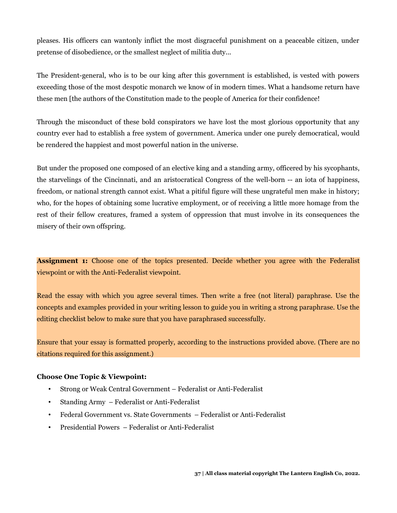pleases. His officers can wantonly inflict the most disgraceful punishment on a peaceable citizen, under pretense of disobedience, or the smallest neglect of militia duty...

The President-general, who is to be our king after this government is established, is vested with powers exceeding those of the most despotic monarch we know of in modern times. What a handsome return have these men [the authors of the Constitution made to the people of America for their confidence!

Through the misconduct of these bold conspirators we have lost the most glorious opportunity that any country ever had to establish a free system of government. America under one purely democratical, would be rendered the happiest and most powerful nation in the universe.

But under the proposed one composed of an elective king and a standing army, officered by his sycophants, the starvelings of the Cincinnati, and an aristocratical Congress of the well-born -- an iota of happiness, freedom, or national strength cannot exist. What a pitiful figure will these ungrateful men make in history; who, for the hopes of obtaining some lucrative employment, or of receiving a little more homage from the rest of their fellow creatures, framed a system of oppression that must involve in its consequences the misery of their own offspring.

**Assignment 1:** Choose one of the topics presented. Decide whether you agree with the Federalist viewpoint or with the Anti-Federalist viewpoint.

Read the essay with which you agree several times. Then write a free (not literal) paraphrase. Use the concepts and examples provided in your writing lesson to guide you in writing a strong paraphrase. Use the editing checklist below to make sure that you have paraphrased successfully.

Ensure that your essay is formatted properly, according to the instructions provided above. (There are no citations required for this assignment.)

#### **Choose One Topic & Viewpoint:**

- Strong or Weak Central Government Federalist or Anti-Federalist
- Standing Army Federalist or Anti-Federalist
- Federal Government vs. State Governments Federalist or Anti-Federalist
- Presidential Powers Federalist or Anti-Federalist